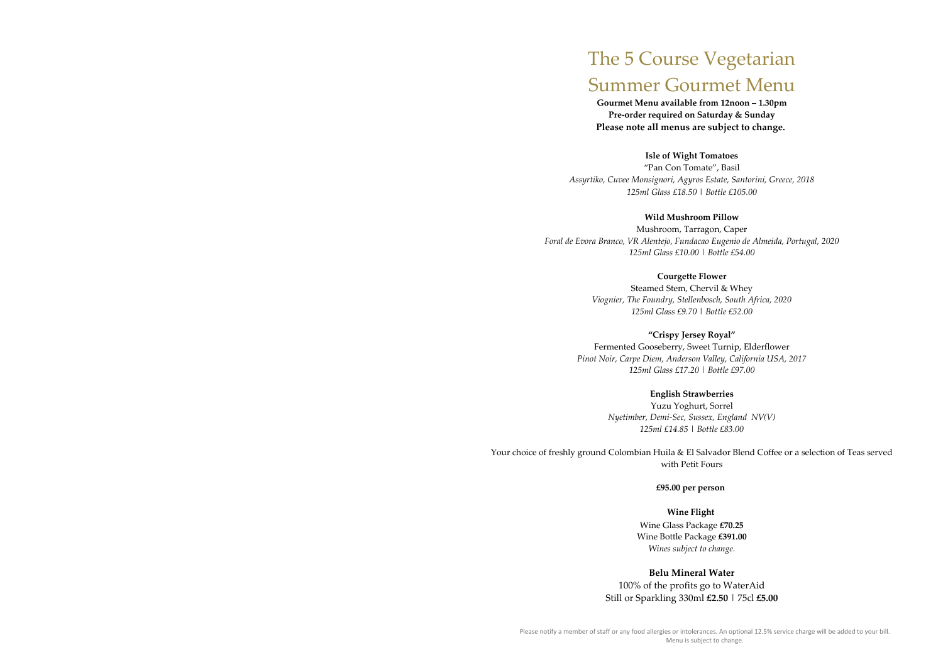# The 5 Course Vegetarian Summer Gourmet Menu

**Gourmet Menu available from 12noon – 1.30pm Pre-order required on Saturday & Sunday Please note all menus are subject to change.**

**Isle of Wight Tomatoes** "Pan Con Tomate", Basil *Assyrtiko, Cuvee Monsignori, Agyros Estate, Santorini, Greece, 2018 125ml Glass £18.50 | Bottle £105.00*

**Wild Mushroom Pillow** Mushroom, Tarragon, Caper *Foral de Evora Branco, VR Alentejo, Fundacao Eugenio de Almeida, Portugal, 2020 125ml Glass £10.00 | Bottle £54.00*

Your choice of freshly ground Colombian Huila & El Salvador Blend Coffee or a selection of Teas served with Petit Fours

**Courgette Flower** Steamed Stem, Chervil & Whey *Viognier, The Foundry, Stellenbosch, South Africa, 2020 125ml Glass £9.70 | Bottle £52.00*

**"Crispy Jersey Royal"** Fermented Gooseberry, Sweet Turnip, Elderflower *Pinot Noir, Carpe Diem, Anderson Valley, California USA, 2017 125ml Glass £17.20 | Bottle £97.00*

> **English Strawberries** Yuzu Yoghurt, Sorrel *Nyetimber, Demi-Sec, Sussex, England NV(V) 125ml £14.85 | Bottle £83.00*

> > **£95.00 per person**

**Wine Flight** Wine Glass Package **£70.25** Wine Bottle Package **£391.00** *Wines subject to change.*

**Belu Mineral Water** 100% of the profits go to WaterAid Still or Sparkling 330ml **£2.50** | 75cl **£5.00**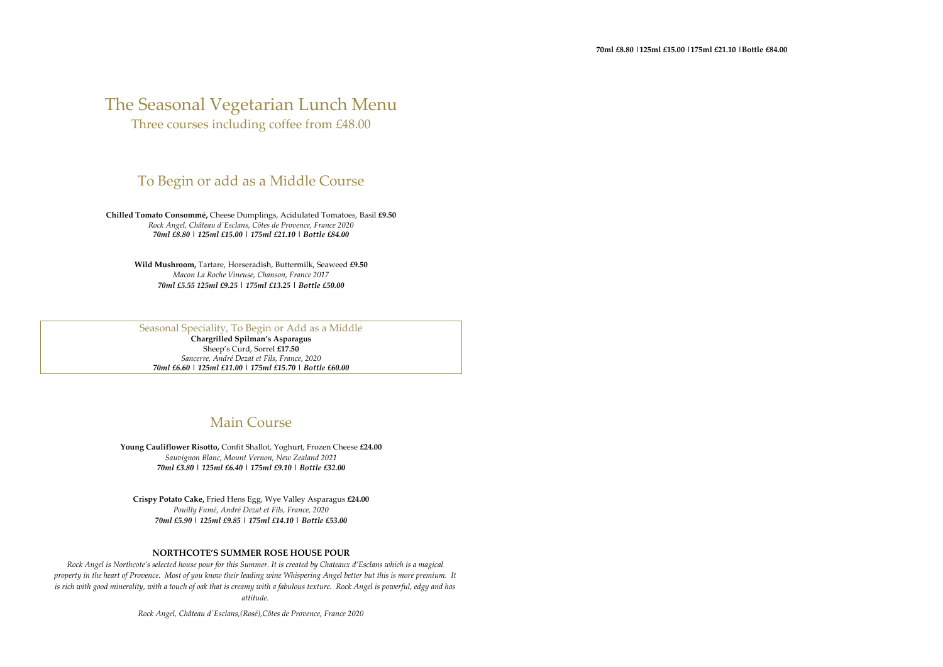## The Seasonal Vegetarian Lunch Menu

Three courses including coffee from £48.00

## To Begin or add as a Middle Course

**Chilled Tomato Consommé,** Cheese Dumplings, Acidulated Tomatoes, Basil **£9.50** *Rock Angel, Château d`Esclans, Côtes de Provence, France 2020 70ml £8.80 | 125ml £15.00 | 175ml £21.10 | Bottle £84.00*

**Wild Mushroom,** Tartare, Horseradish, Buttermilk, Seaweed **£9.50**  *Macon La Roche Vineuse, Chanson, France 2017 70ml £5.55 125ml £9.25 | 175ml £13.25 | Bottle £50.00*

#### Seasonal Speciality, To Begin or Add as a Middle

**Chargrilled Spilman's Asparagus** Sheep's Curd, Sorrel **£17.50** *Sancerre, André Dezat et Fils, France, 2020 70ml £6.60 | 125ml £11.00 | 175ml £15.70 | Bottle £60.00*

## Main Course

**Young Cauliflower Risotto,** Confit Shallot, Yoghurt, Frozen Cheese **£24.00** *Sauvignon Blanc, Mount Vernon, New Zealand 2021 70ml £3.80 | 125ml £6.40 | 175ml £9.10 | Bottle £32.00*

**Crispy Potato Cake,** Fried Hens Egg, Wye Valley Asparagus **£24.00** *Pouilly Fumé, André Dezat et Fils, France, 2020 70ml £5.90 | 125ml £9.85 | 175ml £14.10 | Bottle £53.00*

#### **NORTHCOTE'S SUMMER ROSE HOUSE POUR**

*Rock Angel is Northcote's selected house pour for this Summer. It is created by Chateaux d'Esclans which is a magical property in the heart of Provence. Most of you know their leading wine Whispering Angel better but this is more premium. It is rich with good minerality, with a touch of oak that is creamy with a fabulous texture. Rock Angel is powerful, edgy and has attitude.*

 *Rock Angel, Château d`Esclans,(Rosé),Côtes de Provence, France 2020*